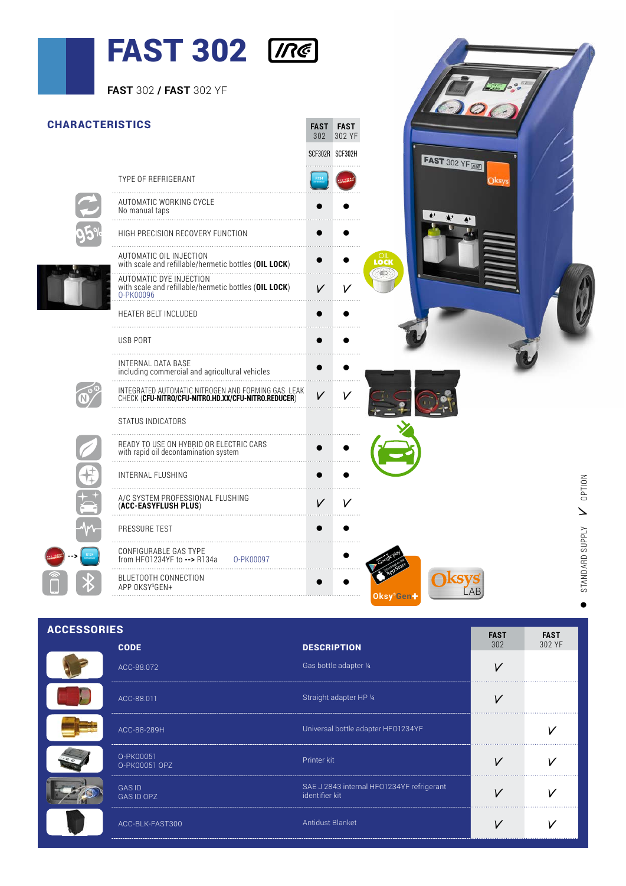## FAST 302 [Re]

| FAST 302 / FAST 302 YF                                                                                             |              |                                |           |              |                    |  |  |
|--------------------------------------------------------------------------------------------------------------------|--------------|--------------------------------|-----------|--------------|--------------------|--|--|
| <b>CHARACTERISTICS</b>                                                                                             |              | <b>FAST FAST</b><br>302 302 YF |           |              |                    |  |  |
|                                                                                                                    |              | SCF302R SCF302H                |           |              | <b>FAST 302 YF</b> |  |  |
| TYPE OF REFRIGERANT                                                                                                |              |                                |           |              |                    |  |  |
| AUTOMATIC WORKING CYCLE<br>No manual taps                                                                          |              |                                |           |              |                    |  |  |
| HIGH PRECISION RECOVERY FUNCTION                                                                                   | $\bullet$    |                                |           |              |                    |  |  |
| AUTOMATIC OIL INJECTION<br>with scale and refillable/hermetic bottles (OIL LOCK)                                   | $\bullet$    |                                |           | LOCK<br>Lock |                    |  |  |
| AUTOMATIC DYE INJECTION<br>with scale and refillable/hermetic bottles (OIL LOCK)<br>0-PK00096                      |              |                                |           |              |                    |  |  |
| HEATER BELT INCLUDED                                                                                               |              |                                |           |              |                    |  |  |
| <b>USB PORT</b>                                                                                                    |              |                                |           |              |                    |  |  |
| INTERNAL DATA BASE<br>including commercial and agricultural vehicles                                               |              |                                |           |              |                    |  |  |
| INTEGRATED AUTOMATIC NITROGEN AND FORMING GAS LEAK<br>CHECK ( <b>CFU-NITRO/CFU-NITRO.HD.XX/CFU-NITRO.REDUCER</b> ) | $\mathcal V$ |                                |           |              |                    |  |  |
| STATUS INDICATORS                                                                                                  |              |                                |           |              |                    |  |  |
|                                                                                                                    |              |                                |           |              |                    |  |  |
| <b>INTERNAL FLUSHING</b>                                                                                           | $\bullet$    |                                |           |              |                    |  |  |
| A/C SYSTEM PROFESSIONAL FLUSHING<br>(ACC-EASYFLUSH PLUS)                                                           | V            | V                              |           |              |                    |  |  |
| PRESSURE TEST                                                                                                      |              |                                |           |              |                    |  |  |
| CONFIGURABLE GAS TYPE<br>from HF01234YF to --> R134a<br>0-PK00097                                                  |              |                                |           |              |                    |  |  |
| BLUETOOTH CONNECTION<br>APP OKSYSGEN+                                                                              |              |                                |           |              |                    |  |  |
|                                                                                                                    |              |                                | Oksy°Gen- |              |                    |  |  |

| <b>ACCESSORIES</b><br><b>FAST</b><br><b>FAST</b> |                             |                                                             |     |        |  |  |  |
|--------------------------------------------------|-----------------------------|-------------------------------------------------------------|-----|--------|--|--|--|
|                                                  | <b>CODE</b>                 | <b>DESCRIPTION</b>                                          | 302 | 302 YF |  |  |  |
|                                                  | ACC-88.072                  | Gas bottle adapter 1/4                                      |     |        |  |  |  |
|                                                  | ACC-88.011                  | Straight adapter HP 1/4                                     |     |        |  |  |  |
|                                                  | ACC-88-289H                 | Universal bottle adapter HFO1234YF                          |     |        |  |  |  |
|                                                  | O-PK00051<br>O-PK00051 OPZ  | Printer kit                                                 |     |        |  |  |  |
|                                                  | <b>GAS ID</b><br>GAS ID OPZ | SAE J 2843 internal HFO1234YF refrigerant<br>identifier kit |     |        |  |  |  |
|                                                  | ACC-BLK-FAST300             | Antidust Blanket                                            |     |        |  |  |  |